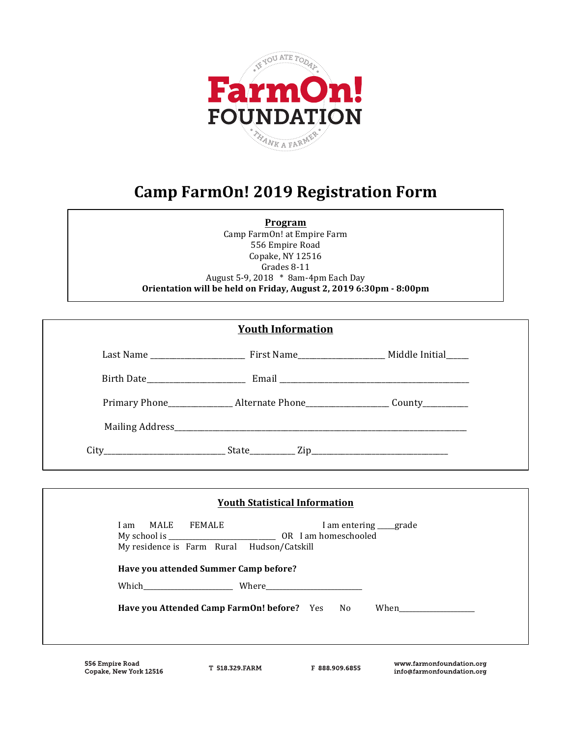

# **Camp FarmOn! 2019 Registration Form**

**Program**

Camp FarmOn! at Empire Farm 556 Empire Road Copake, NY 12516 Grades 8-11 August 5-9, 2018 \* 8am-4pm Each Day **Orientation will be held on Friday, August 2, 2019 6:30pm - 8:00pm**

|                     | <b>Youth Information</b>                                                         |                     |
|---------------------|----------------------------------------------------------------------------------|---------------------|
|                     |                                                                                  |                     |
|                     |                                                                                  |                     |
|                     | Primary Phone______________Alternate Phone_____________________County___________ |                     |
|                     |                                                                                  |                     |
|                     | $City$ $Zip$ $Size$ $Zip$                                                        |                     |
|                     |                                                                                  |                     |
|                     | <b>Youth Statistical Information</b>                                             |                     |
| MALE FEMALE<br>I am | My residence is Farm Rural Hudson/Catskill                                       | I am entering grade |
|                     | Have you attended Summer Camp before?                                            |                     |
|                     |                                                                                  |                     |
|                     | Have you Attended Camp FarmOn! before? Yes No                                    | When                |

**556 Empire Road** Copake, New York 12516

T 518 329 FARM

F 888 909 6855

www.farmonfoundation.org info@farmonfoundation.org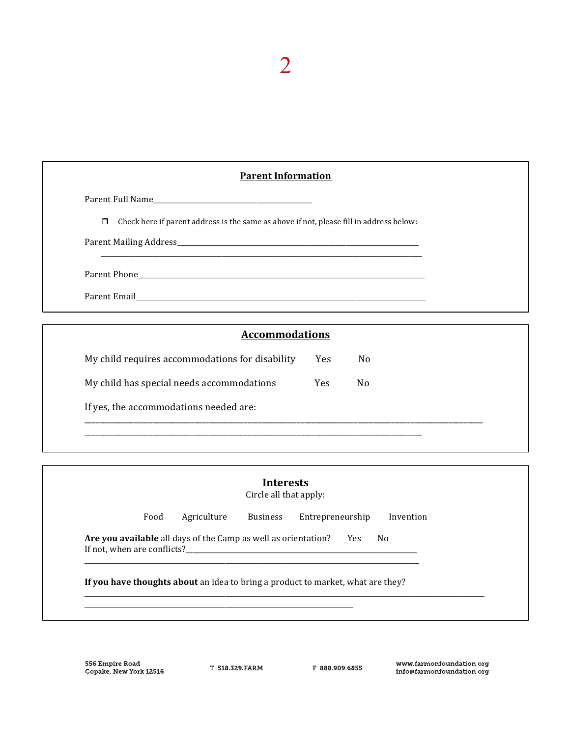| $\cdot$<br>$\sim$<br><b>Parent Information</b>                                                 |  |
|------------------------------------------------------------------------------------------------|--|
|                                                                                                |  |
| $\Box$ Check here if parent address is the same as above if not, please fill in address below: |  |
|                                                                                                |  |
|                                                                                                |  |
|                                                                                                |  |

2

| <b>Accommodations</b>                           |            |                |
|-------------------------------------------------|------------|----------------|
| My child requires accommodations for disability | <b>Yes</b> | N <sub>0</sub> |
| My child has special needs accommodations       | Yes        | N <sub>0</sub> |
| If yes, the accommodations needed are:          |            |                |

| Food | Agriculture                                                    | <b>Business</b> | Entrepreneurship                         | Invention |
|------|----------------------------------------------------------------|-----------------|------------------------------------------|-----------|
|      | Are you available all days of the Camp as well as orientation? |                 | No<br>Yes<br>If not, when are conflicts? |           |

556 Empire Road<br>Copake, New York 12516

T 518 329 FARM

F 888 909 6855

www.farmonfoundation.org info@farmonfoundation.org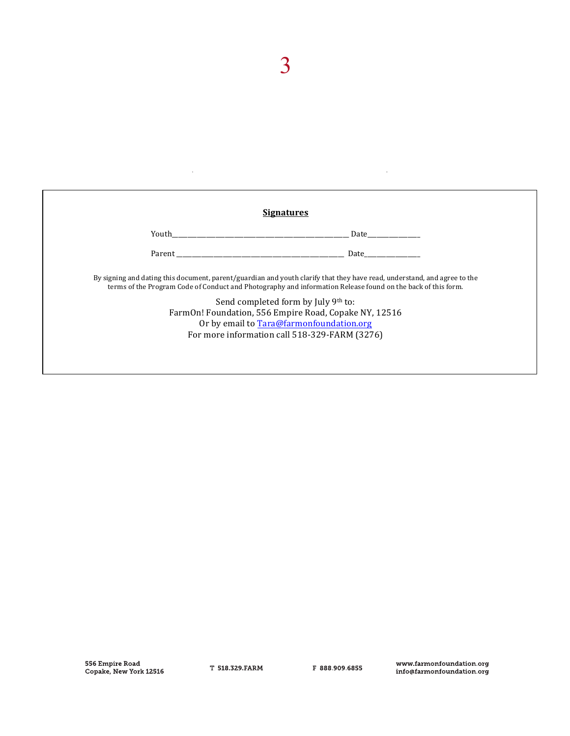|                                | <b>Signatures</b>                                                                                                                                                                                                                                                               |
|--------------------------------|---------------------------------------------------------------------------------------------------------------------------------------------------------------------------------------------------------------------------------------------------------------------------------|
| <b>The Vouth Exercise 2018</b> | Date the control of the control of the control of the control of the control of the control of the control of the control of the control of the control of the control of the control of the control of the control of the con                                                  |
| Parent                         | Date                                                                                                                                                                                                                                                                            |
|                                | By signing and dating this document, parent/guardian and youth clarify that they have read, understand, and agree to the<br>terms of the Program Code of Conduct and Photography and information Release found on the back of this form.<br>Send completed form by July 9th to: |

 $\hat{\mathcal{A}}$ 

 $\overline{3}$ 

 $\ddot{\phantom{a}}$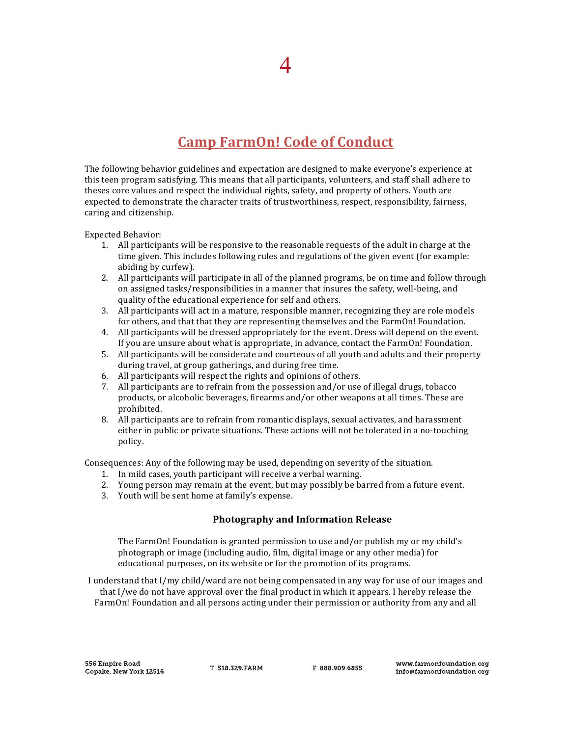## **Camp FarmOn! Code of Conduct**

The following behavior guidelines and expectation are designed to make everyone's experience at this teen program satisfying. This means that all participants, volunteers, and staff shall adhere to theses core values and respect the individual rights, safety, and property of others. Youth are expected to demonstrate the character traits of trustworthiness, respect, responsibility, fairness, caring and citizenship.

Expected Behavior: 

- 1. All participants will be responsive to the reasonable requests of the adult in charge at the time given. This includes following rules and regulations of the given event (for example: abiding by curfew).
- 2. All participants will participate in all of the planned programs, be on time and follow through on assigned tasks/responsibilities in a manner that insures the safety, well-being, and quality of the educational experience for self and others.
- 3. All participants will act in a mature, responsible manner, recognizing they are role models for others, and that that they are representing themselves and the FarmOn! Foundation.
- 4. All participants will be dressed appropriately for the event. Dress will depend on the event. If you are unsure about what is appropriate, in advance, contact the FarmOn! Foundation.
- 5. All participants will be considerate and courteous of all youth and adults and their property during travel, at group gatherings, and during free time.
- 6. All participants will respect the rights and opinions of others.
- 7. All participants are to refrain from the possession and/or use of illegal drugs, tobacco products, or alcoholic beverages, firearms and/or other weapons at all times. These are prohibited.
- 8. All participants are to refrain from romantic displays, sexual activates, and harassment either in public or private situations. These actions will not be tolerated in a no-touching policy.

Consequences: Any of the following may be used, depending on severity of the situation.

- 1. In mild cases, youth participant will receive a verbal warning.
- 2. Young person may remain at the event, but may possibly be barred from a future event.
- 3. Youth will be sent home at family's expense.

### **Photography and Information Release**

The FarmOn! Foundation is granted permission to use and/or publish my or my child's photograph or image (including audio, film, digital image or any other media) for educational purposes, on its website or for the promotion of its programs.

I understand that I/my child/ward are not being compensated in any way for use of our images and that  $I/we$  do not have approval over the final product in which it appears. I hereby release the FarmOn! Foundation and all persons acting under their permission or authority from any and all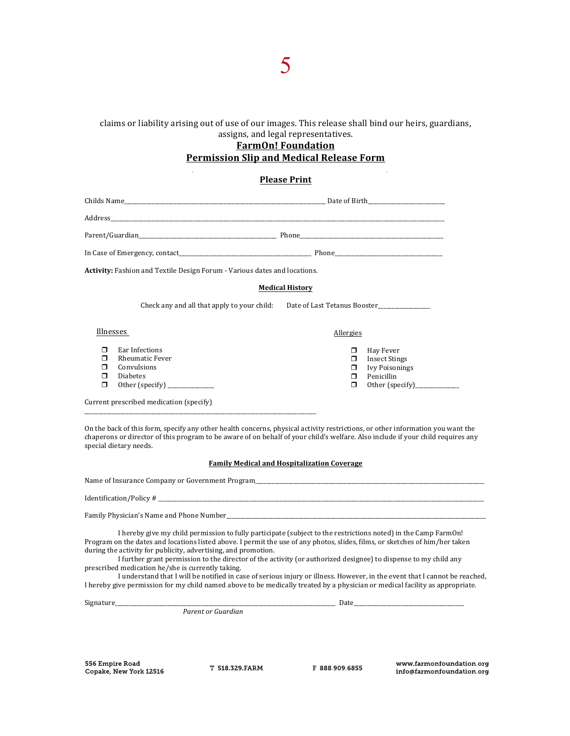#### claims or liability arising out of use of our images. This release shall bind our heirs, guardians, assigns, and legal representatives.

### **FarmOn! Foundation Permission Slip and Medical Release Form**

#### **Please Print**

|                                 | <b>Activity:</b> Fashion and Textile Design Forum - Various dates and locations.                                                                                                                                                                                  |                                                |                                                                          |
|---------------------------------|-------------------------------------------------------------------------------------------------------------------------------------------------------------------------------------------------------------------------------------------------------------------|------------------------------------------------|--------------------------------------------------------------------------|
|                                 |                                                                                                                                                                                                                                                                   | <b>Medical History</b>                         |                                                                          |
|                                 | Check any and all that apply to your child: Date of Last Tetanus Booster                                                                                                                                                                                          |                                                |                                                                          |
|                                 | Illnesses                                                                                                                                                                                                                                                         | Allergies                                      |                                                                          |
| $\Box$<br>⊓<br>⊓<br>$\Box$<br>π | Ear Infections<br><b>Rheumatic Fever</b><br>Convulsions<br><b>Diabetes</b><br>Other (specify) ___________                                                                                                                                                         | $\Box$<br>$\Box$<br>$\Box$<br>$\Box$<br>$\Box$ | Hay Fever<br><b>Insect Stings</b><br><b>Ivy Poisonings</b><br>Penicillin |
|                                 | Current prescribed medication (specify)                                                                                                                                                                                                                           |                                                |                                                                          |
|                                 | On the back of this form, specify any other health concerns, physical activity restrictions, or other information you want the<br>chaperons or director of this program to be aware of on behalf of your child's welfare. Also include if your child requires any |                                                |                                                                          |

**Family Medical and Hospitalization Coverage** 

| Name of Insurance Company or Government Program_ |  |
|--------------------------------------------------|--|
|--------------------------------------------------|--|

| Identification/Policy# |  |                 |
|------------------------|--|-----------------|
|                        |  | _______________ |

special dietary needs.

Family Physician's Name and Phone Number\_\_\_\_\_\_\_\_\_\_\_\_\_\_\_\_\_\_\_\_\_\_\_\_\_\_\_\_\_\_\_\_\_\_\_\_\_\_\_\_\_\_\_\_\_\_\_\_\_\_\_\_\_\_\_\_\_\_\_\_\_\_\_\_\_\_\_\_\_\_\_\_\_\_\_\_\_\_\_\_\_\_\_\_\_\_\_\_\_\_\_\_\_\_

I hereby give my child permission to fully participate (subject to the restrictions noted) in the Camp FarmOn! Program on the dates and locations listed above. I permit the use of any photos, slides, films, or sketches of him/her taken during the activity for publicity, advertising, and promotion.

I further grant permission to the director of the activity (or authorized designee) to dispense to my child any prescribed medication he/she is currently taking.

I understand that I will be notified in case of serious injury or illness. However, in the event that I cannot be reached, I hereby give permission for my child named above to be medically treated by a physician or medical facility as appropriate.

Signature\_\_\_\_\_\_\_\_\_\_\_\_\_\_\_\_\_\_\_\_\_\_\_\_\_\_\_\_\_\_\_\_\_\_\_\_\_\_\_\_\_\_\_\_\_\_\_\_\_\_\_\_\_\_\_\_\_\_\_\_\_\_\_\_\_\_\_\_\_\_\_\_\_\_\_\_\_\_\_\_ Date\_\_\_\_\_\_\_\_\_\_\_\_\_\_\_\_\_\_\_\_\_\_\_\_\_\_\_\_\_\_\_\_\_\_\_\_\_\_\_\_

*Parent or Guardian* 

**556 Empire Road** Copake, New York 12516

T 518 329 FARM

F 888 909 6855

www.farmonfoundation.org info@farmonfoundation.org